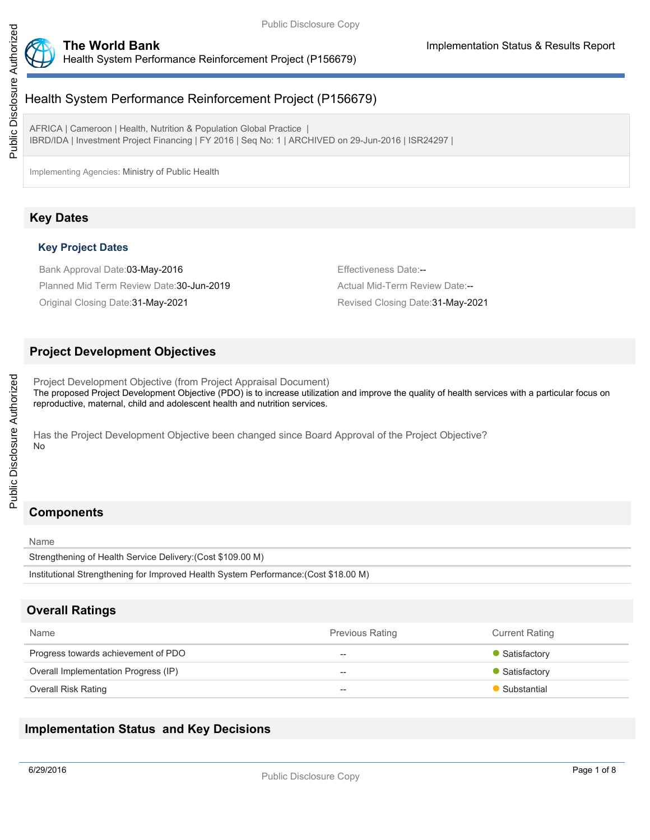



# Health System Performance Reinforcement Project (P156679)

AFRICA | Cameroon | Health, Nutrition & Population Global Practice | IBRD/IDA | Investment Project Financing | FY 2016 | Seq No: 1 | ARCHIVED on 29-Jun-2016 | ISR24297 |

Implementing Agencies: Ministry of Public Health

## **Key Dates**

### **Key Project Dates**

Bank Approval Date:03-May-2016 **Effectiveness Date:--** Effectiveness Date:--Planned Mid Term Review Date: 30-Jun-2019 **Actual Mid-Term Review Date:--** Actual Mid-Term Review Date:

Original Closing Date:31-May-2021 Revised Closing Date:31-May-2021

## **Project Development Objectives**

Project Development Objective (from Project Appraisal Document) The proposed Project Development Objective (PDO) is to increase utilization and improve the quality of health services with a particular focus on reproductive, maternal, child and adolescent health and nutrition services.

Has the Project Development Objective been changed since Board Approval of the Project Objective? No

## **Components**

Name Strengthening of Health Service Delivery:(Cost \$109.00 M) Institutional Strengthening for Improved Health System Performance:(Cost \$18.00 M)

## **Overall Ratings**

| Name                                 | <b>Previous Rating</b> | <b>Current Rating</b> |
|--------------------------------------|------------------------|-----------------------|
| Progress towards achievement of PDO  | $- -$                  | • Satisfactory        |
| Overall Implementation Progress (IP) | $- -$                  | • Satisfactory        |
| Overall Risk Rating                  | $- -$                  | • Substantial         |

## **Implementation Status and Key Decisions**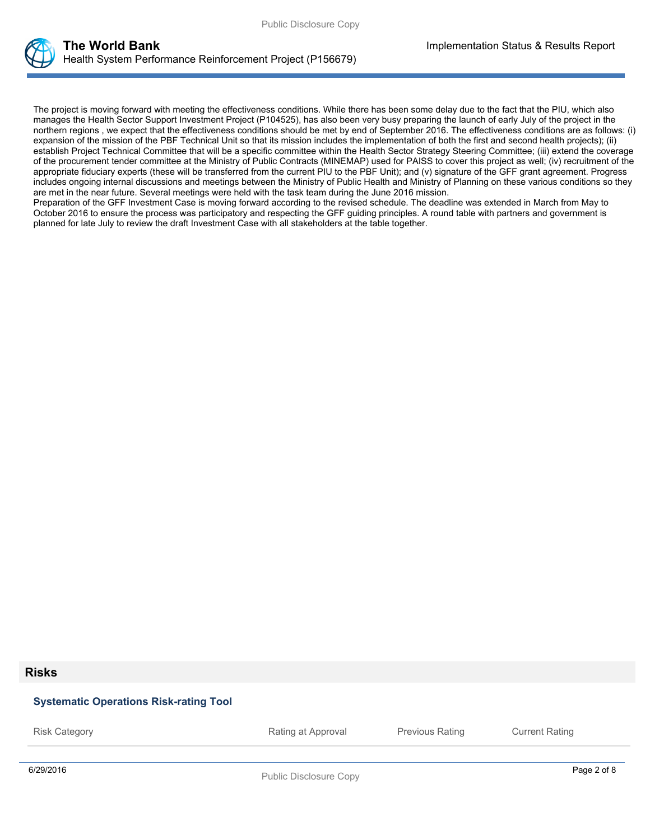

The project is moving forward with meeting the effectiveness conditions. While there has been some delay due to the fact that the PIU, which also manages the Health Sector Support Investment Project (P104525), has also been very busy preparing the launch of early July of the project in the northern regions , we expect that the effectiveness conditions should be met by end of September 2016. The effectiveness conditions are as follows: (i) expansion of the mission of the PBF Technical Unit so that its mission includes the implementation of both the first and second health projects); (ii) establish Project Technical Committee that will be a specific committee within the Health Sector Strategy Steering Committee; (iii) extend the coverage of the procurement tender committee at the Ministry of Public Contracts (MINEMAP) used for PAISS to cover this project as well; (iv) recruitment of the appropriate fiduciary experts (these will be transferred from the current PIU to the PBF Unit); and (v) signature of the GFF grant agreement. Progress includes ongoing internal discussions and meetings between the Ministry of Public Health and Ministry of Planning on these various conditions so they are met in the near future. Several meetings were held with the task team during the June 2016 mission.

Preparation of the GFF Investment Case is moving forward according to the revised schedule. The deadline was extended in March from May to October 2016 to ensure the process was participatory and respecting the GFF guiding principles. A round table with partners and government is planned for late July to review the draft Investment Case with all stakeholders at the table together.

#### **Risks**

# 6/29/2016 Page 2 of 8 Public Disclosure Copy **Systematic Operations Risk-rating Tool** Risk Category **Rating at Approval** Previous Rating Current Rating Previous Rating Current Rating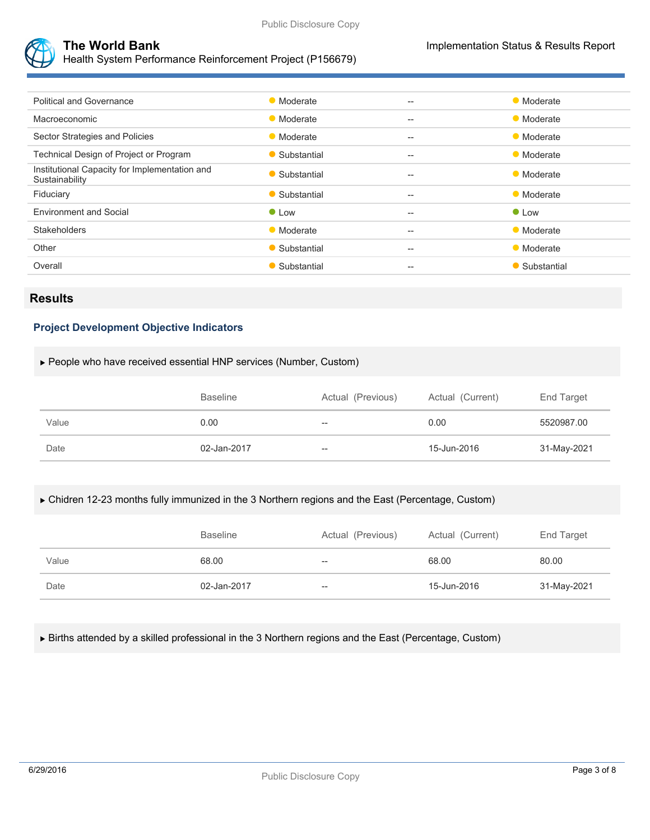



Health System Performance Reinforcement Project (P156679)

| <b>Political and Governance</b>                                 | • Moderate    | $\hspace{0.05cm} -\hspace{0.05cm} -\hspace{0.05cm}$ | • Moderate    |
|-----------------------------------------------------------------|---------------|-----------------------------------------------------|---------------|
| Macroeconomic                                                   | • Moderate    | $-$                                                 | • Moderate    |
| Sector Strategies and Policies                                  | • Moderate    | $- -$                                               | • Moderate    |
| Technical Design of Project or Program                          | • Substantial | $-$                                                 | • Moderate    |
| Institutional Capacity for Implementation and<br>Sustainability | • Substantial | $-$                                                 | • Moderate    |
| Fiduciary                                                       | • Substantial | $-$                                                 | • Moderate    |
| <b>Environment and Social</b>                                   | $\bullet$ Low | $- -$                                               | $\bullet$ Low |
| <b>Stakeholders</b>                                             | • Moderate    | $-$                                                 | • Moderate    |
| Other                                                           | • Substantial | $-$                                                 | • Moderate    |
| Overall                                                         | • Substantial | $- -$                                               | • Substantial |
|                                                                 |               |                                                     |               |

## **Results**

#### **Project Development Objective Indicators**

#### People who have received essential HNP services (Number, Custom)

|       | <b>Baseline</b> | Actual (Previous) | Actual (Current) | End Target  |
|-------|-----------------|-------------------|------------------|-------------|
| Value | 0.00            | --                | 0.00             | 5520987.00  |
| Date  | 02-Jan-2017     | --                | 15-Jun-2016      | 31-May-2021 |

#### Chidren 12-23 months fully immunized in the 3 Northern regions and the East (Percentage, Custom)

|       | <b>Baseline</b> | Actual (Previous) | Actual (Current) | End Target  |
|-------|-----------------|-------------------|------------------|-------------|
| Value | 68.00           | $- -$             | 68.00            | 80.00       |
| Date  | 02-Jan-2017     | $- -$             | 15-Jun-2016      | 31-May-2021 |

Births attended by a skilled professional in the 3 Northern regions and the East (Percentage, Custom)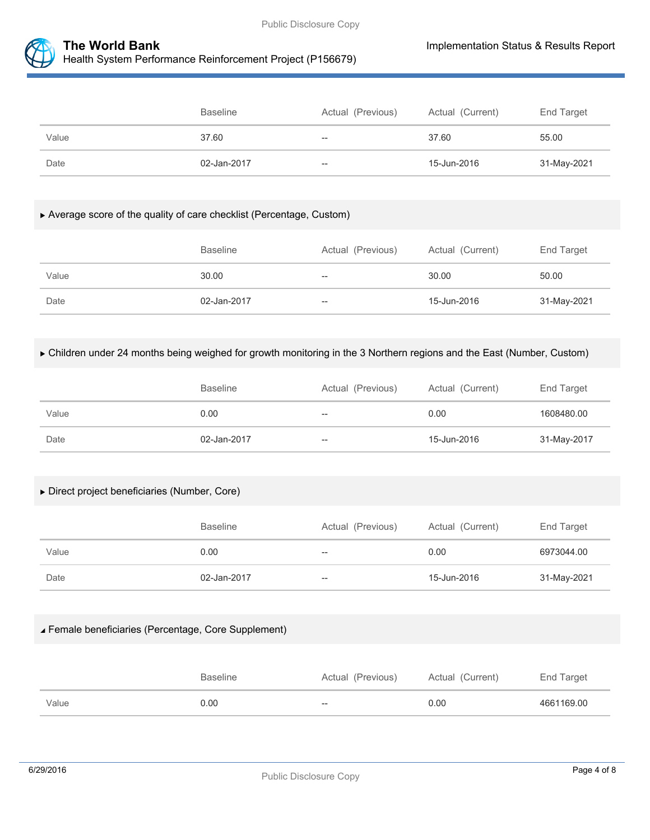



|       | <b>Baseline</b> | Actual (Previous) | Actual (Current) | End Target  |
|-------|-----------------|-------------------|------------------|-------------|
| Value | 37.60           | $- -$             | 37.60            | 55.00       |
| Date  | 02-Jan-2017     | $-$               | 15-Jun-2016      | 31-May-2021 |

#### Average score of the quality of care checklist (Percentage, Custom)

|       | <b>Baseline</b> | Actual (Previous) | Actual (Current) | End Target  |
|-------|-----------------|-------------------|------------------|-------------|
| Value | 30.00           | $- -$             | 30.00            | 50.00       |
| Date  | 02-Jan-2017     | $-$               | 15-Jun-2016      | 31-May-2021 |

#### Children under 24 months being weighed for growth monitoring in the 3 Northern regions and the East (Number, Custom)

|       | <b>Baseline</b> | Actual (Previous) | Actual (Current) | End Target  |
|-------|-----------------|-------------------|------------------|-------------|
| Value | 0.00            | $- -$             | 0.00             | 1608480.00  |
| Date  | 02-Jan-2017     | $- -$             | 15-Jun-2016      | 31-May-2017 |

#### Direct project beneficiaries (Number, Core)

|       | <b>Baseline</b> | Actual (Previous) | Actual (Current) | End Target  |
|-------|-----------------|-------------------|------------------|-------------|
| Value | 0.00            | $- -$             | 0.00             | 6973044.00  |
| Date  | 02-Jan-2017     | $- -$             | 15-Jun-2016      | 31-May-2021 |

#### Female beneficiaries (Percentage, Core Supplement)

|       | <b>Baseline</b> | Actual (Previous) | Actual (Current) | End Target |
|-------|-----------------|-------------------|------------------|------------|
| Value | 0.00            | $- -$             | 0.00             | 4661169.00 |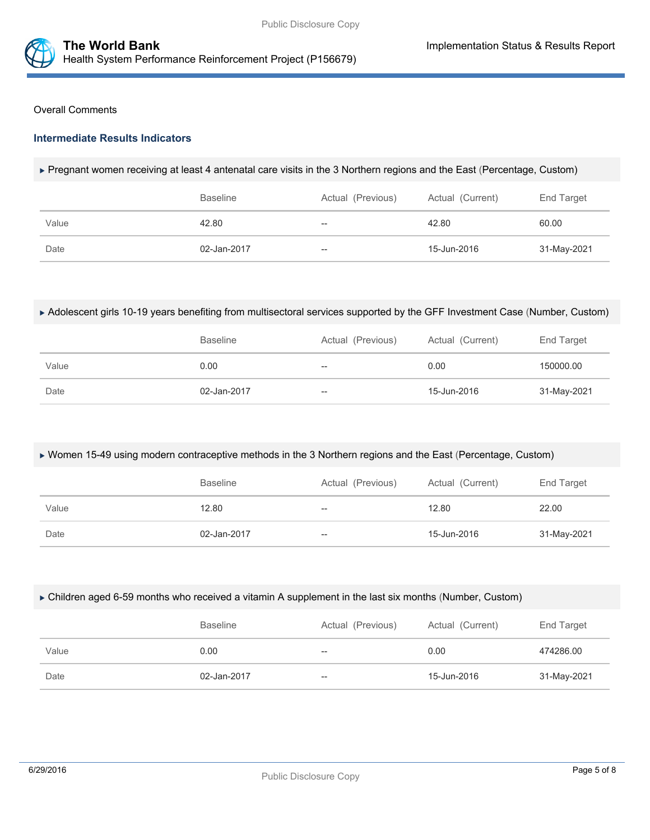

#### Overall Comments

#### **Intermediate Results Indicators**

#### Pregnant women receiving at least 4 antenatal care visits in the 3 Northern regions and the East (Percentage, Custom)

|       | <b>Baseline</b> | Actual (Previous)        | Actual (Current) | End Target  |
|-------|-----------------|--------------------------|------------------|-------------|
| Value | 42.80           | $\hspace{0.05cm}$        | 42.80            | 60.00       |
| Date  | 02-Jan-2017     | $\overline{\phantom{m}}$ | 15-Jun-2016      | 31-May-2021 |

#### Adolescent girls 10-19 years benefiting from multisectoral services supported by the GFF Investment Case (Number, Custom)

|       | <b>Baseline</b> | Actual (Previous) | Actual (Current) | End Target  |
|-------|-----------------|-------------------|------------------|-------------|
| Value | 0.00            | $- -$             | 0.00             | 150000.00   |
| Date  | 02-Jan-2017     | $- -$             | 15-Jun-2016      | 31-May-2021 |

#### Women 15-49 using modern contraceptive methods in the 3 Northern regions and the East (Percentage, Custom)

|       | <b>Baseline</b> | Actual (Previous) | Actual (Current) | End Target  |
|-------|-----------------|-------------------|------------------|-------------|
| Value | 12.80           | $-$               | 12.80            | 22.00       |
| Date  | 02-Jan-2017     | --                | 15-Jun-2016      | 31-May-2021 |

#### Children aged 6-59 months who received a vitamin A supplement in the last six months (Number, Custom)

|       | <b>Baseline</b> | Actual (Previous) | Actual (Current) | End Target  |
|-------|-----------------|-------------------|------------------|-------------|
| Value | 0.00            | --                | 0.00             | 474286.00   |
| Date  | 02-Jan-2017     | --                | 15-Jun-2016      | 31-May-2021 |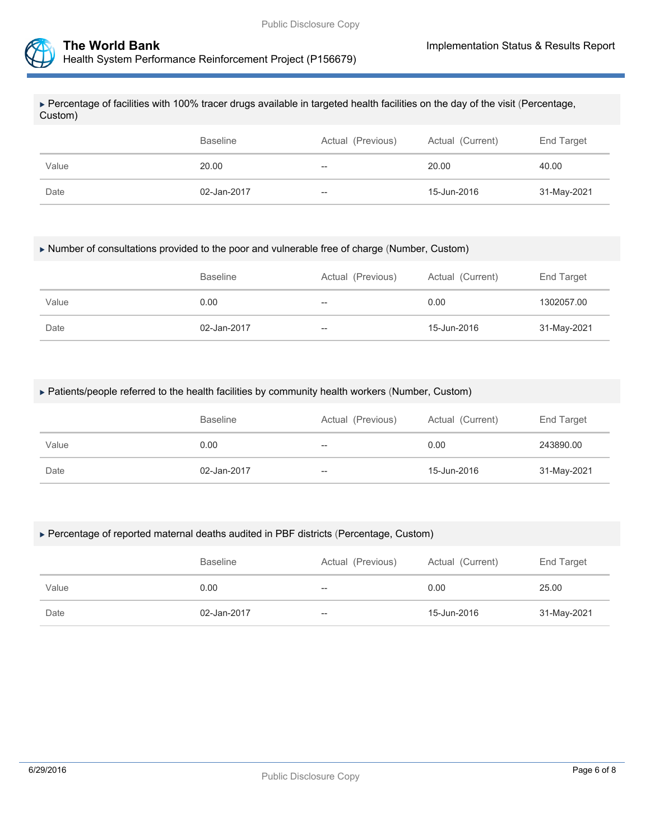



 Percentage of facilities with 100% tracer drugs available in targeted health facilities on the day of the visit (Percentage, Custom)

|       | <b>Baseline</b> | Actual (Previous) | Actual (Current) | End Target  |
|-------|-----------------|-------------------|------------------|-------------|
| Value | 20.00           | $- -$             | 20.00            | 40.00       |
| Date  | 02-Jan-2017     | --                | 15-Jun-2016      | 31-May-2021 |

#### Number of consultations provided to the poor and vulnerable free of charge (Number, Custom)

|       | <b>Baseline</b> | Actual (Previous) | Actual (Current) | End Target  |
|-------|-----------------|-------------------|------------------|-------------|
| Value | 0.00            | --                | 0.00             | 1302057.00  |
| Date  | 02-Jan-2017     | --                | 15-Jun-2016      | 31-May-2021 |

#### Patients/people referred to the health facilities by community health workers (Number, Custom)

|       | <b>Baseline</b> | Actual (Previous) | Actual (Current) | End Target  |
|-------|-----------------|-------------------|------------------|-------------|
| Value | 0.00            | $- -$             | 0.00             | 243890.00   |
| Date  | 02-Jan-2017     | $-\!$             | 15-Jun-2016      | 31-May-2021 |

#### Percentage of reported maternal deaths audited in PBF districts (Percentage, Custom)

|       | <b>Baseline</b> | Actual (Previous) | Actual (Current) | End Target  |
|-------|-----------------|-------------------|------------------|-------------|
| Value | 0.00            | $- -$             | 0.00             | 25.00       |
| Date  | 02-Jan-2017     | $- -$             | 15-Jun-2016      | 31-May-2021 |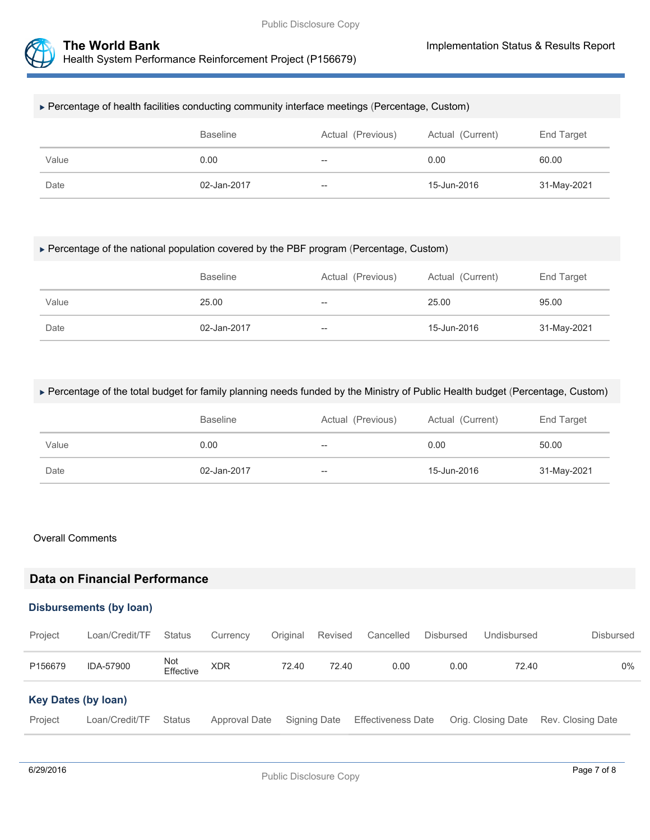



#### Percentage of health facilities conducting community interface meetings (Percentage, Custom)

|       | <b>Baseline</b> | Actual (Previous) | Actual (Current) | End Target  |
|-------|-----------------|-------------------|------------------|-------------|
| Value | 0.00            | $- -$             | 0.00             | 60.00       |
| Date  | 02-Jan-2017     | $-\!$             | 15-Jun-2016      | 31-May-2021 |

#### Percentage of the national population covered by the PBF program (Percentage, Custom)

|       | <b>Baseline</b> | Actual (Previous) | Actual (Current) | End Target  |
|-------|-----------------|-------------------|------------------|-------------|
| Value | 25.00           | $- -$             | 25.00            | 95.00       |
| Date  | 02-Jan-2017     | $-\!$             | 15-Jun-2016      | 31-May-2021 |

#### Percentage of the total budget for family planning needs funded by the Ministry of Public Health budget (Percentage, Custom)

|       | <b>Baseline</b> | Actual (Previous) | Actual (Current) | End Target  |
|-------|-----------------|-------------------|------------------|-------------|
| Value | 0.00            | $\hspace{0.05cm}$ | 0.00             | 50.00       |
| Date  | 02-Jan-2017     | $-\!$             | 15-Jun-2016      | 31-May-2021 |

#### Overall Comments

## **Data on Financial Performance**

#### **Disbursements (by loan)**

| Project                    | Loan/Credit/TF | Status           | Currency      | Original | Revised      | Cancelled                 | Disbursed | Undisbursed        | <b>Disbursed</b>  |
|----------------------------|----------------|------------------|---------------|----------|--------------|---------------------------|-----------|--------------------|-------------------|
| P156679                    | IDA-57900      | Not<br>Effective | <b>XDR</b>    | 72.40    | 72.40        | 0.00                      | 0.00      | 72.40              | 0%                |
| <b>Key Dates (by loan)</b> |                |                  |               |          |              |                           |           |                    |                   |
| Project                    | Loan/Credit/TF | <b>Status</b>    | Approval Date |          | Signing Date | <b>Effectiveness Date</b> |           | Orig. Closing Date | Rev. Closing Date |